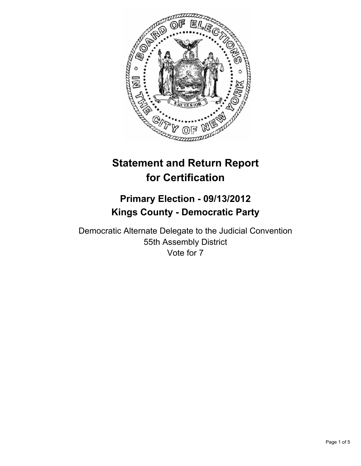

# **Statement and Return Report for Certification**

# **Primary Election - 09/13/2012 Kings County - Democratic Party**

Democratic Alternate Delegate to the Judicial Convention 55th Assembly District Vote for 7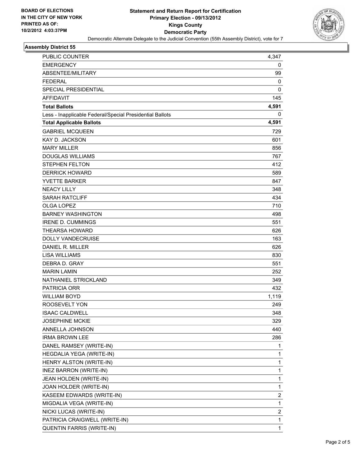

#### **Assembly District 55**

| PUBLIC COUNTER                                           | 4,347                   |
|----------------------------------------------------------|-------------------------|
| <b>EMERGENCY</b>                                         | 0                       |
| ABSENTEE/MILITARY                                        | 99                      |
| <b>FEDERAL</b>                                           | 0                       |
| <b>SPECIAL PRESIDENTIAL</b>                              | 0                       |
| <b>AFFIDAVIT</b>                                         | 145                     |
| <b>Total Ballots</b>                                     | 4,591                   |
| Less - Inapplicable Federal/Special Presidential Ballots | 0                       |
| <b>Total Applicable Ballots</b>                          | 4,591                   |
| <b>GABRIEL MCQUEEN</b>                                   | 729                     |
| <b>KAY D. JACKSON</b>                                    | 601                     |
| <b>MARY MILLER</b>                                       | 856                     |
| <b>DOUGLAS WILLIAMS</b>                                  | 767                     |
| <b>STEPHEN FELTON</b>                                    | 412                     |
| <b>DERRICK HOWARD</b>                                    | 589                     |
| <b>YVETTE BARKER</b>                                     | 847                     |
| <b>NEACY LILLY</b>                                       | 348                     |
| <b>SARAH RATCLIFF</b>                                    | 434                     |
| OLGA LOPEZ                                               | 710                     |
| <b>BARNEY WASHINGTON</b>                                 | 498                     |
| <b>IRENE D. CUMMINGS</b>                                 | 551                     |
| <b>THEARSA HOWARD</b>                                    | 626                     |
| <b>DOLLY VANDECRUISE</b>                                 | 163                     |
| DANIEL R. MILLER                                         | 626                     |
| <b>LISA WILLIAMS</b>                                     | 830                     |
| DEBRA D. GRAY                                            | 551                     |
| <b>MARIN LAMIN</b>                                       | 252                     |
| NATHANIEL STRICKLAND                                     | 349                     |
| <b>PATRICIA ORR</b>                                      | 432                     |
| <b>WILLIAM BOYD</b>                                      | 1,119                   |
| ROOSEVELT YON                                            | 249                     |
| ISAAC CALDWELL                                           | 348                     |
| <b>JOSEPHINE MCKIE</b>                                   | 329                     |
| ANNELLA JOHNSON                                          | 440                     |
| <b>IRMA BROWN LEE</b>                                    | 286                     |
| DANEL RAMSEY (WRITE-IN)                                  | 1                       |
| HEGDALIA YEGA (WRITE-IN)                                 | 1                       |
| HENRY ALSTON (WRITE-IN)                                  | 1                       |
| <b>INEZ BARRON (WRITE-IN)</b>                            | 1                       |
| JEAN HOLDEN (WRITE-IN)                                   | 1                       |
| JOAN HOLDER (WRITE-IN)                                   | 1                       |
| KASEEM EDWARDS (WRITE-IN)                                | 2                       |
| MIGDALIA VEGA (WRITE-IN)                                 | 1                       |
| NICKI LUCAS (WRITE-IN)                                   | $\overline{\mathbf{c}}$ |
| PATRICIA CRAIGWELL (WRITE-IN)                            | 1                       |
| QUENTIN FARRIS (WRITE-IN)                                | 1                       |
|                                                          |                         |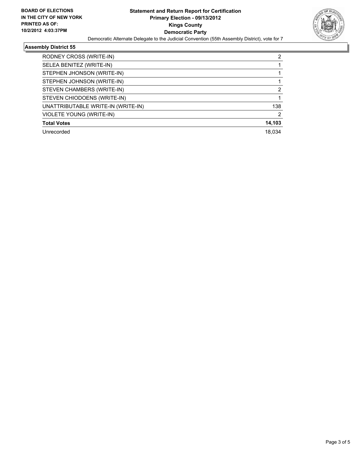

## **Assembly District 55**

| RODNEY CROSS (WRITE-IN)            | 2      |
|------------------------------------|--------|
| SELEA BENITEZ (WRITE-IN)           |        |
| STEPHEN JHONSON (WRITE-IN)         |        |
| STEPHEN JOHNSON (WRITE-IN)         |        |
| STEVEN CHAMBERS (WRITE-IN)         | 2      |
| STEVEN CHIODOENS (WRITE-IN)        |        |
| UNATTRIBUTABLE WRITE-IN (WRITE-IN) | 138    |
| <b>VIOLETE YOUNG (WRITE-IN)</b>    | 2      |
| <b>Total Votes</b>                 | 14,103 |
| Unrecorded                         | 18.034 |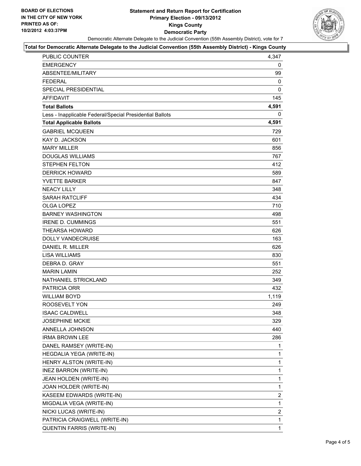### **Statement and Return Report for Certification Primary Election - 09/13/2012 Kings County Democratic Party** Democratic Alternate Delegate to the Judicial Convention (55th Assembly District), vote for 7



#### **Total for Democratic Alternate Delegate to the Judicial Convention (55th Assembly District) - Kings County**

| PUBLIC COUNTER                                           | 4,347          |
|----------------------------------------------------------|----------------|
| <b>EMERGENCY</b>                                         | 0              |
| ABSENTEE/MILITARY                                        | 99             |
| <b>FEDERAL</b>                                           | 0              |
| <b>SPECIAL PRESIDENTIAL</b>                              | 0              |
| <b>AFFIDAVIT</b>                                         | 145            |
| <b>Total Ballots</b>                                     | 4,591          |
| Less - Inapplicable Federal/Special Presidential Ballots | 0              |
| <b>Total Applicable Ballots</b>                          | 4,591          |
| <b>GABRIEL MCQUEEN</b>                                   | 729            |
| <b>KAY D. JACKSON</b>                                    | 601            |
| <b>MARY MILLER</b>                                       | 856            |
| <b>DOUGLAS WILLIAMS</b>                                  | 767            |
| <b>STEPHEN FELTON</b>                                    | 412            |
| <b>DERRICK HOWARD</b>                                    | 589            |
| <b>YVETTE BARKER</b>                                     | 847            |
| <b>NEACY LILLY</b>                                       | 348            |
| <b>SARAH RATCLIFF</b>                                    | 434            |
| <b>OLGA LOPEZ</b>                                        | 710            |
| <b>BARNEY WASHINGTON</b>                                 | 498            |
| <b>IRENE D. CUMMINGS</b>                                 | 551            |
| <b>THEARSA HOWARD</b>                                    | 626            |
| <b>DOLLY VANDECRUISE</b>                                 | 163            |
| DANIEL R. MILLER                                         | 626            |
| <b>LISA WILLIAMS</b>                                     | 830            |
| DEBRA D. GRAY                                            | 551            |
| <b>MARIN LAMIN</b>                                       | 252            |
| NATHANIEL STRICKLAND                                     | 349            |
| <b>PATRICIA ORR</b>                                      | 432            |
| <b>WILLIAM BOYD</b>                                      | 1,119          |
| ROOSEVELT YON                                            | 249            |
| <b>ISAAC CALDWELL</b>                                    | 348            |
| <b>JOSEPHINE MCKIE</b>                                   | 329            |
| ANNELLA JOHNSON                                          | 440            |
| <b>IRMA BROWN LEE</b>                                    | 286            |
| DANEL RAMSEY (WRITE-IN)                                  | 1              |
| HEGDALIA YEGA (WRITE-IN)                                 | 1              |
| HENRY ALSTON (WRITE-IN)                                  | 1              |
| INEZ BARRON (WRITE-IN)                                   | 1              |
| JEAN HOLDEN (WRITE-IN)                                   | $\mathbf 1$    |
| JOAN HOLDER (WRITE-IN)                                   | 1              |
| KASEEM EDWARDS (WRITE-IN)                                | $\overline{a}$ |
| MIGDALIA VEGA (WRITE-IN)                                 | 1              |
| NICKI LUCAS (WRITE-IN)                                   | 2              |
| PATRICIA CRAIGWELL (WRITE-IN)                            | 1              |
| QUENTIN FARRIS (WRITE-IN)                                | $\mathbf{1}$   |
|                                                          |                |